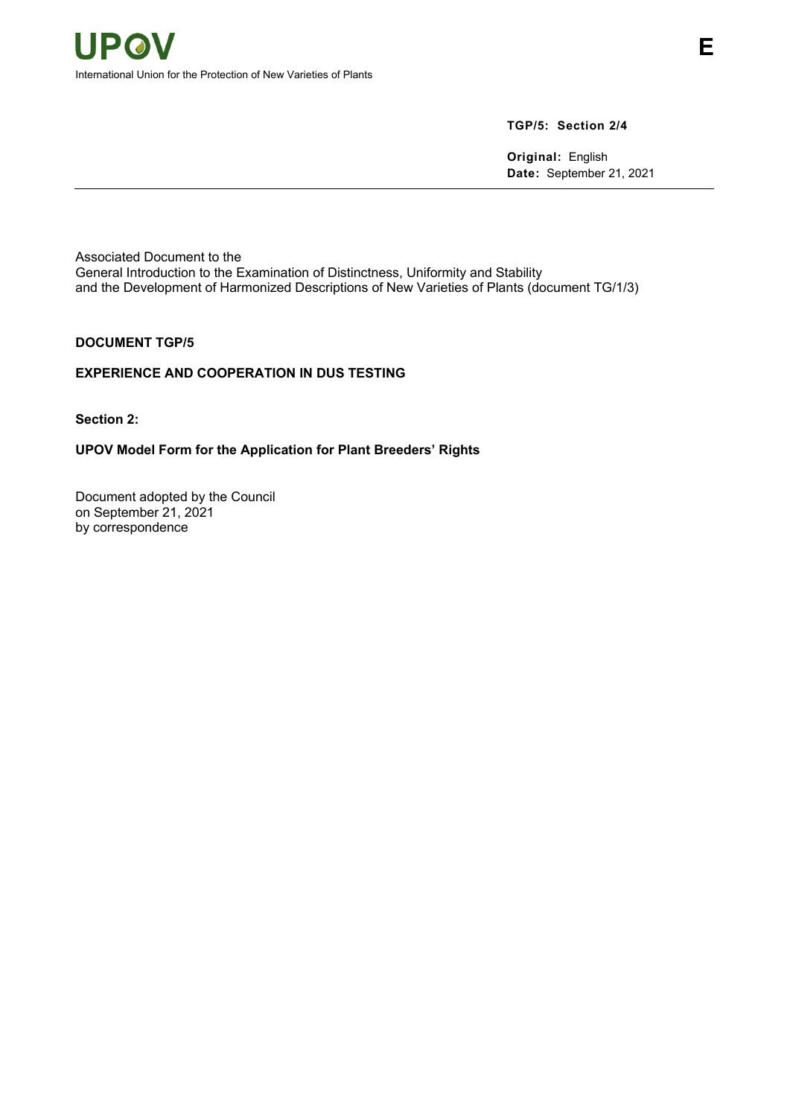# **TGP/5: Section 2/4**

**Original:** English **Date:** September 21, 2021

Associated Document to the General Introduction to the Examination of Distinctness, Uniformity and Stability and the Development of Harmonized Descriptions of New Varieties of Plants (document TG/1/3)

### **DOCUMENT TGP/5**

# **EXPERIENCE AND COOPERATION IN DUS TESTING**

**Section 2:** 

# **UPOV Model Form for the Application for Plant Breeders' Rights**

Document adopted by the Council on September 21, 2021 by correspondence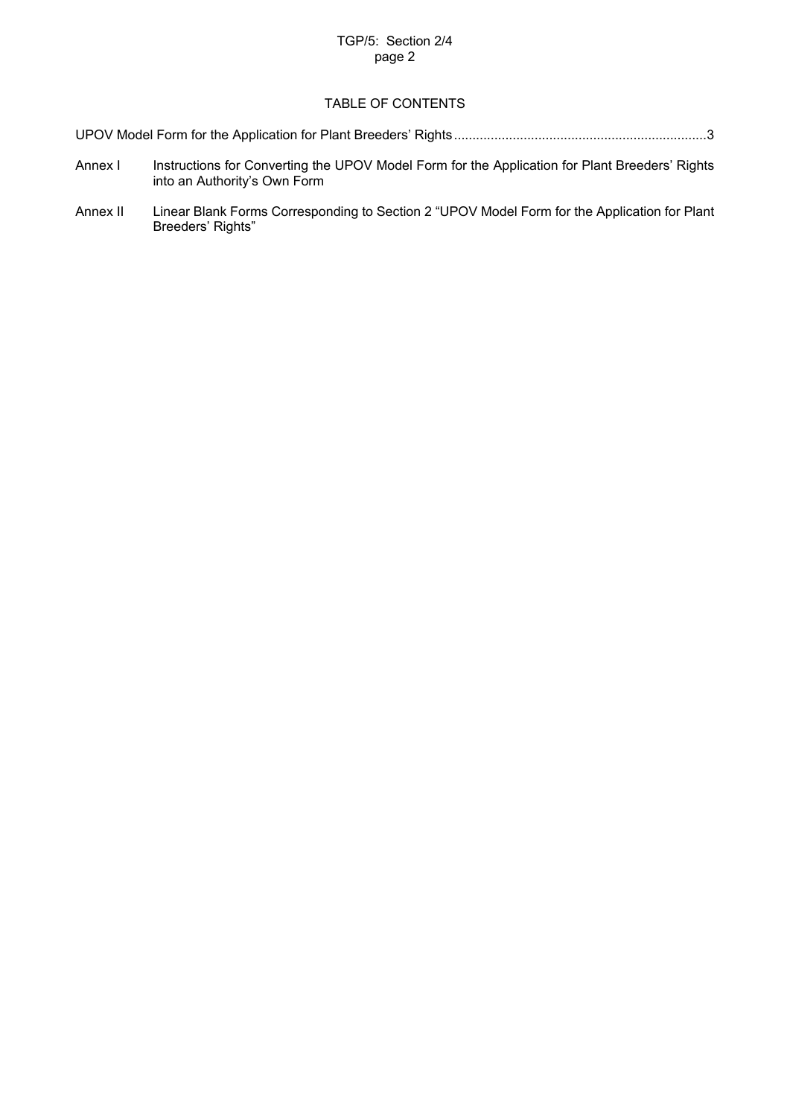# TGP/5: Section 2/4 page 2

# TABLE OF CONTENTS

[UPOV Model Form for the Application for Plant Breeders' Rights](#page-1-0) .....................................................................3

- Annex I Instructions for Converting the UPOV Model Form for the Application for Plant Breeders' Rights into an Authority's Own Form
- <span id="page-1-0"></span>Annex II Linear Blank Forms Corresponding to Section 2 "UPOV Model Form for the Application for Plant Breeders' Rights"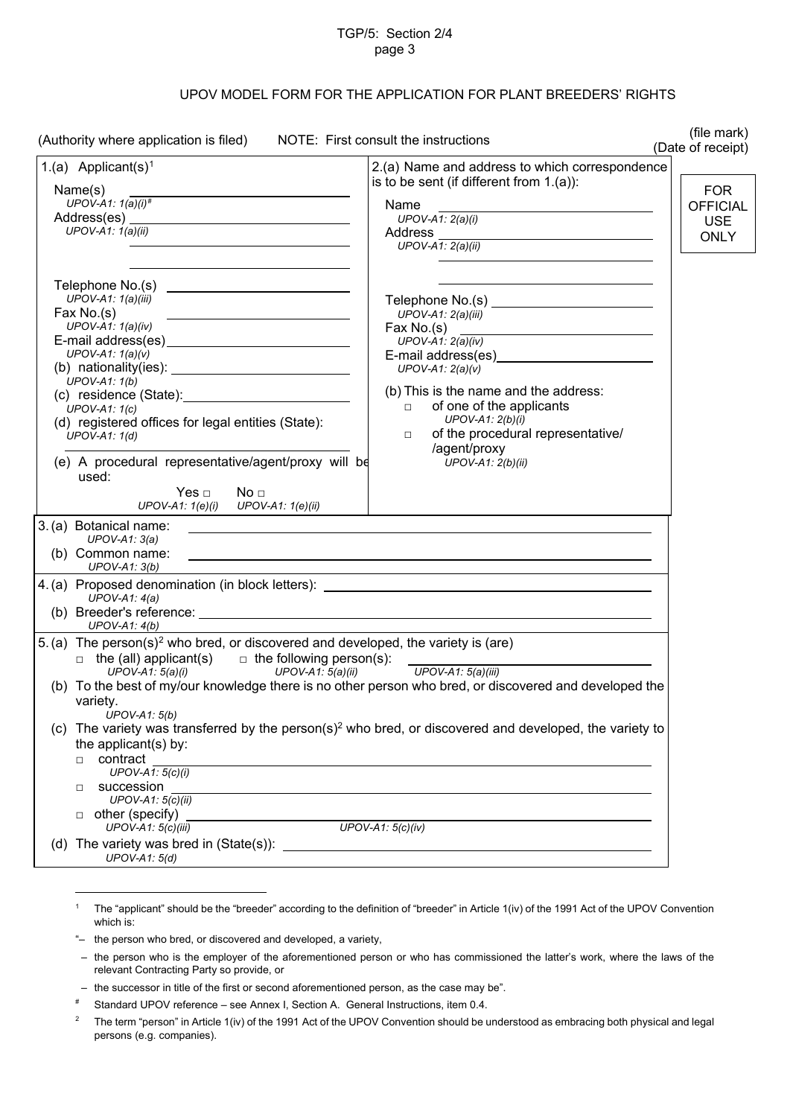#### TGP/5: Section 2/4 page 3

# UPOV MODEL FORM FOR THE APPLICATION FOR PLANT BREEDERS' RIGHTS

| (Authority where application is filed) NOTE: First consult the instructions                                                                                                                                                                                                                                                                                                                                                                                                                                                                                                                                                                                                                                                                                        | (file mark)<br>(Date of receipt)                                                                                                                                                                                                                                                                                                    |
|--------------------------------------------------------------------------------------------------------------------------------------------------------------------------------------------------------------------------------------------------------------------------------------------------------------------------------------------------------------------------------------------------------------------------------------------------------------------------------------------------------------------------------------------------------------------------------------------------------------------------------------------------------------------------------------------------------------------------------------------------------------------|-------------------------------------------------------------------------------------------------------------------------------------------------------------------------------------------------------------------------------------------------------------------------------------------------------------------------------------|
| 1.(a) Applicant(s) <sup>1</sup><br>Name(s)<br>UPOV-A1: $1(a)(i)^{\#}$<br>UPOV-A1: $1(a)(ii)$                                                                                                                                                                                                                                                                                                                                                                                                                                                                                                                                                                                                                                                                       | 2.(a) Name and address to which correspondence<br>is to be sent (if different from $1.(a)$ ):<br><b>FOR</b><br>Name<br><b>OFFICIAL</b><br>$UPOV-A1: 2(a)(i)$<br><b>USE</b><br><b>ONLY</b><br>$UPOV-A1: 2(a)(ii)$                                                                                                                    |
| UPOV-A1: $1(a)(iii)$<br>Fax $No.(s)$<br><u> 2008 - Andrea State Barbara, amerikan personal personal personal personal personal personal personal personal </u><br>$UPOV-A1: 1(a)(iv)$<br>UPOV-A1: $1(a)(v)$<br>(b) nationality(ies): $\frac{1}{2}$ and $\frac{1}{2}$ and $\frac{1}{2}$ and $\frac{1}{2}$ and $\frac{1}{2}$ and $\frac{1}{2}$ and $\frac{1}{2}$ and $\frac{1}{2}$ and $\frac{1}{2}$ and $\frac{1}{2}$ and $\frac{1}{2}$ and $\frac{1}{2}$ and $\frac{1}{2}$ and $\frac{1}{2}$ and $\frac$<br>$UPOV-A1: 1(b)$<br>UPOV-A1: $1(c)$<br>(d) registered offices for legal entities (State):<br>UPOV-A1: $1(d)$<br>(e) A procedural representative/agent/proxy will be<br>used:<br>Yes $\Box$<br>No <sub>1</sub><br>$UPOV-A1: 1(e)(i)$ $UPOV-A1: 1(e)(ii)$ | $UPOV-A1: 2(a)(iii)$<br>Fax No.(s)<br><u> 1989 - Johann Barn, fransk politik (d. 1989)</u><br>UPOV- $A1: 2(a)(iv)$<br>UPOV-A1: $2(a)(v)$<br>(b) This is the name and the address:<br>of one of the applicants<br>$\Box$<br>UPOV-A1: $2(b)(i)$<br>of the procedural representative/<br>$\Box$<br>/agent/proxy<br>UPOV-A1: $2(b)(ii)$ |
| 3. (a) Botanical name:<br>$UPOV-A1: 3(a)$<br>(b) Common name:<br>$UPOV-A1: 3(b)$                                                                                                                                                                                                                                                                                                                                                                                                                                                                                                                                                                                                                                                                                   | <u> 1990 - Johann Stoff, amerikansk politiker (d. 1980)</u>                                                                                                                                                                                                                                                                         |
| UPOV-A1: $4(a)$<br>UPOV-A1: $4(b)$                                                                                                                                                                                                                                                                                                                                                                                                                                                                                                                                                                                                                                                                                                                                 |                                                                                                                                                                                                                                                                                                                                     |
| 5. (a) The person(s) <sup>2</sup> who bred, or discovered and developed, the variety is (are)<br>$\Box$ the (all) applicant(s) $\Box$ the following person(s):<br>$UPOV-A1: 5(a)(i)$<br>$UPOV-A1: 5(a)(ii)$<br>(b) To the best of my/our knowledge there is no other person who bred, or discovered and developed the<br>variety.<br>UPOV-A1: $5(b)$                                                                                                                                                                                                                                                                                                                                                                                                               | UPOV-A1: 5(a)(iii)                                                                                                                                                                                                                                                                                                                  |
| (C).<br>the applicant(s) by:<br>contract<br>П.<br>UPOV-A1: $5(c)(i)$<br>succession<br>□<br>UPOV-A1: $5(c)(ii)$<br>$\Box$ other (specify)                                                                                                                                                                                                                                                                                                                                                                                                                                                                                                                                                                                                                           | The variety was transferred by the person(s) <sup>2</sup> who bred, or discovered and developed, the variety to                                                                                                                                                                                                                     |
| UPOV-A1: $5(c)(iii)$<br>UPOV-A1: $5(d)$                                                                                                                                                                                                                                                                                                                                                                                                                                                                                                                                                                                                                                                                                                                            | UPOV-A1: $5(c)(iv)$                                                                                                                                                                                                                                                                                                                 |

-

<span id="page-2-0"></span><sup>1</sup> The "applicant" should be the "breeder" according to the definition of "breeder" in Article 1(iv) of the 1991 Act of the UPOV Convention which is:

<sup>&</sup>quot;– the person who bred, or discovered and developed, a variety,

 <sup>–</sup> the person who is the employer of the aforementioned person or who has commissioned the latter's work, where the laws of the relevant Contracting Party so provide, or

 <sup>–</sup> the successor in title of the first or second aforementioned person, as the case may be".

<span id="page-2-1"></span><sup>#</sup> Standard UPOV reference – see Annex I, Section A. General Instructions, item 0.4.

<span id="page-2-2"></span><sup>&</sup>lt;sup>2</sup> The term "person" in Article 1(iv) of the 1991 Act of the UPOV Convention should be understood as embracing both physical and legal persons (e.g. companies).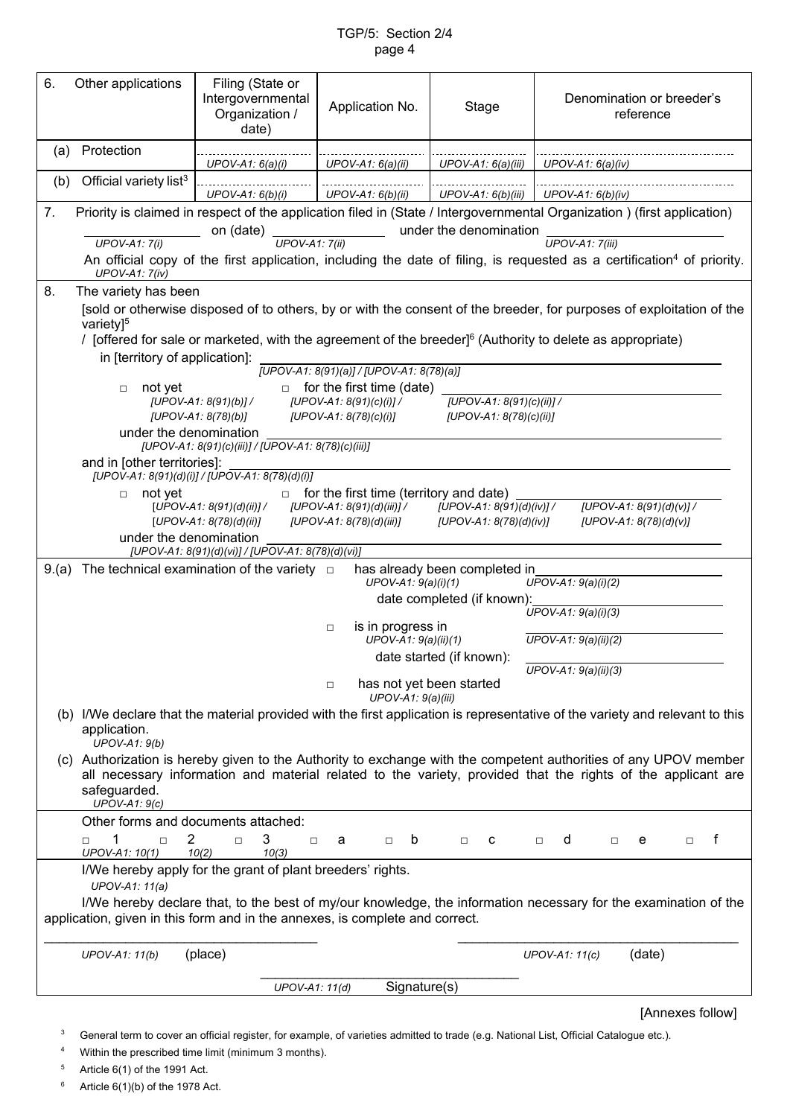## TGP/5: Section 2/4 page 4

| 6.  | Other applications                                                                                                                                                                                                                                                                                                                                                                                                                                                                                                                                                                                                                                                                                                                                                                                                                                                                                                                                                                                                                                                                                      | Filing (State or<br>Intergovernmental<br>Organization /<br>date)                                                                     | Application No.                                                 | Stage                                                |                                                              | Denomination or breeder's<br>reference                                                                                                                                                                                           |
|-----|---------------------------------------------------------------------------------------------------------------------------------------------------------------------------------------------------------------------------------------------------------------------------------------------------------------------------------------------------------------------------------------------------------------------------------------------------------------------------------------------------------------------------------------------------------------------------------------------------------------------------------------------------------------------------------------------------------------------------------------------------------------------------------------------------------------------------------------------------------------------------------------------------------------------------------------------------------------------------------------------------------------------------------------------------------------------------------------------------------|--------------------------------------------------------------------------------------------------------------------------------------|-----------------------------------------------------------------|------------------------------------------------------|--------------------------------------------------------------|----------------------------------------------------------------------------------------------------------------------------------------------------------------------------------------------------------------------------------|
| (a) | Protection                                                                                                                                                                                                                                                                                                                                                                                                                                                                                                                                                                                                                                                                                                                                                                                                                                                                                                                                                                                                                                                                                              |                                                                                                                                      |                                                                 |                                                      |                                                              |                                                                                                                                                                                                                                  |
| (b) | Official variety list <sup>3</sup>                                                                                                                                                                                                                                                                                                                                                                                                                                                                                                                                                                                                                                                                                                                                                                                                                                                                                                                                                                                                                                                                      | UPOV-A1: $6(a)(i)$                                                                                                                   | $UPOV-A1: 6(a)(ii)$                                             | $UPOV-A1: 6(a)(iii)$                                 | UPOV-A1: $6(a)(iv)$                                          |                                                                                                                                                                                                                                  |
|     |                                                                                                                                                                                                                                                                                                                                                                                                                                                                                                                                                                                                                                                                                                                                                                                                                                                                                                                                                                                                                                                                                                         | UPOV-A1: $6(b)(i)$                                                                                                                   | UPOV-A1: $6(b)(ii)$                                             | UPOV-A1: $6(b)(iii)$                                 | UPOV-A1: $6(b)(iv)$                                          |                                                                                                                                                                                                                                  |
| 7.  |                                                                                                                                                                                                                                                                                                                                                                                                                                                                                                                                                                                                                                                                                                                                                                                                                                                                                                                                                                                                                                                                                                         | Priority is claimed in respect of the application filed in (State / Intergovernmental Organization) (first application)<br>on (date) |                                                                 | under the denomination                               |                                                              |                                                                                                                                                                                                                                  |
|     | $UPOV-A1: 7(i)$                                                                                                                                                                                                                                                                                                                                                                                                                                                                                                                                                                                                                                                                                                                                                                                                                                                                                                                                                                                                                                                                                         | $UPOV-A1: 7(ii)$                                                                                                                     |                                                                 |                                                      | $UPOV-A1: 7(iii)$                                            |                                                                                                                                                                                                                                  |
|     | <b>UPOV-A1: 7(iv)</b>                                                                                                                                                                                                                                                                                                                                                                                                                                                                                                                                                                                                                                                                                                                                                                                                                                                                                                                                                                                                                                                                                   |                                                                                                                                      |                                                                 |                                                      |                                                              | An official copy of the first application, including the date of filing, is requested as a certification <sup>4</sup> of priority.                                                                                               |
| 8.  | The variety has been<br>[sold or otherwise disposed of to others, by or with the consent of the breeder, for purposes of exploitation of the<br>variety] <sup>5</sup><br>/ [offered for sale or marketed, with the agreement of the breeder] <sup>6</sup> (Authority to delete as appropriate)<br>in [territory of application]:<br>[UPOV-A1: 8(91)(a)] / [UPOV-A1: 8(78)(a)]<br>$\Box$ for the first time (date)<br>not yet<br>$\Box$<br>[UPOV-A1: 8(91)(c)(ii)] /<br>[UPOV-A1: $8(91)(b)$ ] /<br>[UPOV-A1: $8(91)(c)(i)$ ] /<br>[UPOV-A1: 8(78)(b)]<br>[UPOV-A1: $8(78)(c)(i)$ ]<br>[UPOV-A1: $8(78)(c)(ii)$ ]<br>under the denomination<br>[UPOV-A1: 8(91)(c)(iii)] / [UPOV-A1: 8(78)(c)(iii)]<br>and in [other territories]:<br>[UPOV-A1: 8(91)(d)(i)] / [UPOV-A1: 8(78)(d)(i)]<br>$\Box$ for the first time (territory and date)<br>not yet<br>$\Box$<br>$[UPOV-A1: 8(91)(d)(iii)] /$ $[UPOV-A1: 8(91)(d)(iv)] /$<br>[UPOV-A1: $8(91)(d)(v)$ ] /<br>$[UPOV-A1: 8(91)(d)(ii)]/$<br>$[UPOV-A1: 8(78)(d)(ii)]$<br>[UPOV-A1: 8(78)(d)(iii)]<br>[UPOV-A1: $8(78)(d)(iv)$ ]<br>[UPOV-A1: $8(78)(d)(v)$ ] |                                                                                                                                      |                                                                 |                                                      |                                                              |                                                                                                                                                                                                                                  |
|     | under the denomination                                                                                                                                                                                                                                                                                                                                                                                                                                                                                                                                                                                                                                                                                                                                                                                                                                                                                                                                                                                                                                                                                  | [UPOV-A1: 8(91)(d)(vi)] / [UPOV-A1: 8(78)(d)(vi)]                                                                                    |                                                                 |                                                      |                                                              |                                                                                                                                                                                                                                  |
|     | The technical examination of the variety $\Box$<br>has already been completed in<br>9.(a)<br>$UPOV-A1: 9(a)(i)(2)$<br>$UPOV-A1: 9(a)(i)(1)$                                                                                                                                                                                                                                                                                                                                                                                                                                                                                                                                                                                                                                                                                                                                                                                                                                                                                                                                                             |                                                                                                                                      |                                                                 |                                                      |                                                              |                                                                                                                                                                                                                                  |
|     | date completed (if known):<br>$UPOV-A1: 9(a)(i)(3)$                                                                                                                                                                                                                                                                                                                                                                                                                                                                                                                                                                                                                                                                                                                                                                                                                                                                                                                                                                                                                                                     |                                                                                                                                      |                                                                 |                                                      |                                                              |                                                                                                                                                                                                                                  |
|     |                                                                                                                                                                                                                                                                                                                                                                                                                                                                                                                                                                                                                                                                                                                                                                                                                                                                                                                                                                                                                                                                                                         |                                                                                                                                      | is in progress in<br>$\Box$<br>$UPOV-A1: 9(a)(ii)(1)$<br>$\Box$ | date started (if known):<br>has not yet been started | $\overline{UP}$ OV-A1: 9(a)(ii)(2)<br>$UPOV-A1: 9(a)(ii)(3)$ |                                                                                                                                                                                                                                  |
|     |                                                                                                                                                                                                                                                                                                                                                                                                                                                                                                                                                                                                                                                                                                                                                                                                                                                                                                                                                                                                                                                                                                         |                                                                                                                                      | $UPOV-A1: 9(a)(iii)$                                            |                                                      |                                                              |                                                                                                                                                                                                                                  |
|     | application.<br>UPOV-A1: $9(b)$                                                                                                                                                                                                                                                                                                                                                                                                                                                                                                                                                                                                                                                                                                                                                                                                                                                                                                                                                                                                                                                                         |                                                                                                                                      |                                                                 |                                                      |                                                              | (b) I/We declare that the material provided with the first application is representative of the variety and relevant to this                                                                                                     |
|     | safeguarded.<br>UPOV-A1: $9(c)$                                                                                                                                                                                                                                                                                                                                                                                                                                                                                                                                                                                                                                                                                                                                                                                                                                                                                                                                                                                                                                                                         |                                                                                                                                      |                                                                 |                                                      |                                                              | (c) Authorization is hereby given to the Authority to exchange with the competent authorities of any UPOV member<br>all necessary information and material related to the variety, provided that the rights of the applicant are |
|     | Other forms and documents attached:                                                                                                                                                                                                                                                                                                                                                                                                                                                                                                                                                                                                                                                                                                                                                                                                                                                                                                                                                                                                                                                                     |                                                                                                                                      |                                                                 |                                                      |                                                              |                                                                                                                                                                                                                                  |
|     | $\overline{2}$<br>1<br>$\Box$<br>$\Box$<br>UPOV-A1: 10(1)                                                                                                                                                                                                                                                                                                                                                                                                                                                                                                                                                                                                                                                                                                                                                                                                                                                                                                                                                                                                                                               | 3<br>$\Box$<br>$\Box$<br>10(2)<br>10(3)                                                                                              | $\Box$ b<br>a                                                   | $\Box$<br>C                                          | d<br>$\Box$<br>$\Box$                                        | f<br>e<br>$\Box$                                                                                                                                                                                                                 |
|     | I/We hereby apply for the grant of plant breeders' rights.<br>UPOV-A1: 11(a)<br>I/We hereby declare that, to the best of my/our knowledge, the information necessary for the examination of the<br>application, given in this form and in the annexes, is complete and correct.                                                                                                                                                                                                                                                                                                                                                                                                                                                                                                                                                                                                                                                                                                                                                                                                                         |                                                                                                                                      |                                                                 |                                                      |                                                              |                                                                                                                                                                                                                                  |
|     | UPOV-A1: 11(b)                                                                                                                                                                                                                                                                                                                                                                                                                                                                                                                                                                                                                                                                                                                                                                                                                                                                                                                                                                                                                                                                                          | (place)                                                                                                                              |                                                                 |                                                      | UPOV-A1: 11(c)                                               | (date)                                                                                                                                                                                                                           |
|     |                                                                                                                                                                                                                                                                                                                                                                                                                                                                                                                                                                                                                                                                                                                                                                                                                                                                                                                                                                                                                                                                                                         | UPOV-A1: 11(d)                                                                                                                       | Signature(s)                                                    |                                                      |                                                              |                                                                                                                                                                                                                                  |
|     |                                                                                                                                                                                                                                                                                                                                                                                                                                                                                                                                                                                                                                                                                                                                                                                                                                                                                                                                                                                                                                                                                                         |                                                                                                                                      |                                                                 |                                                      |                                                              | [Annexes follow]                                                                                                                                                                                                                 |

<sup>3</sup> General term to cover an official register, for example, of varieties admitted to trade (e.g. National List, Official Catalogue etc.).

<sup>4</sup> Within the prescribed time limit (minimum 3 months).

 $5$  Article 6(1) of the 1991 Act.

 $6$  Article 6(1)(b) of the 1978 Act.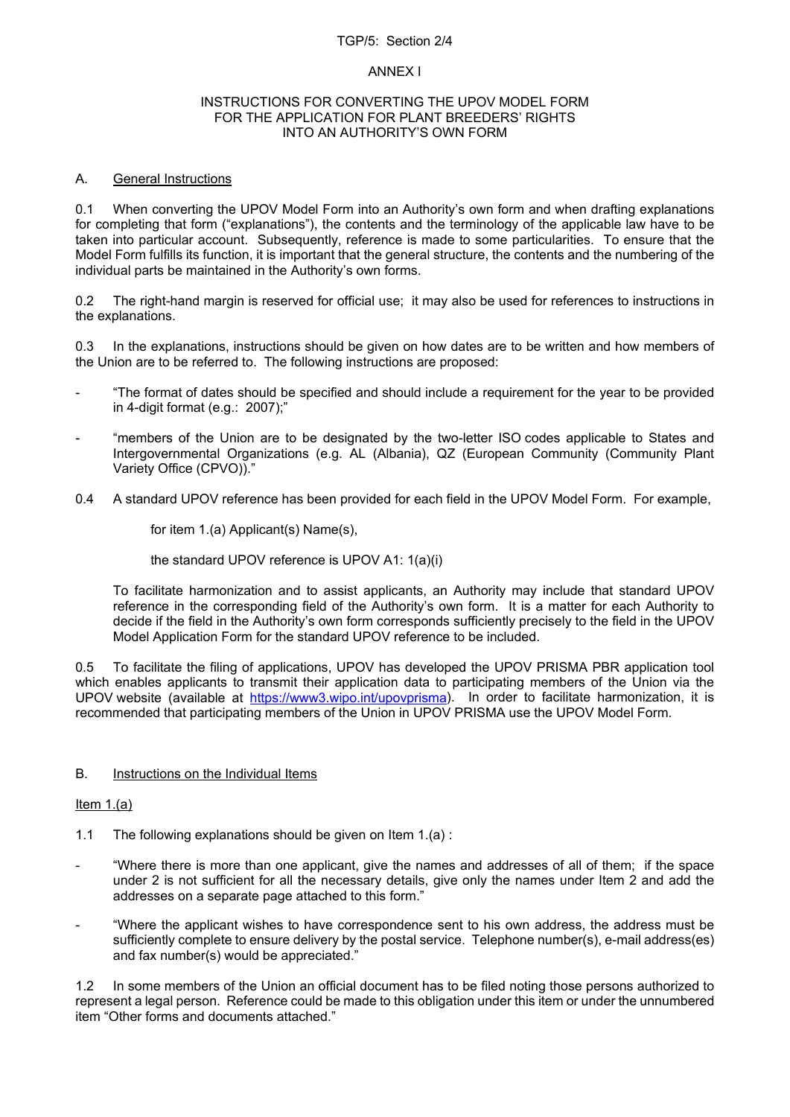### TGP/5: Section 2/4

### ANNEX I

#### INSTRUCTIONS FOR CONVERTING THE UPOV MODEL FORM FOR THE APPLICATION FOR PLANT BREEDERS' RIGHTS INTO AN AUTHORITY'S OWN FORM

# A. General Instructions

0.1 When converting the UPOV Model Form into an Authority's own form and when drafting explanations for completing that form ("explanations"), the contents and the terminology of the applicable law have to be taken into particular account. Subsequently, reference is made to some particularities. To ensure that the Model Form fulfills its function, it is important that the general structure, the contents and the numbering of the individual parts be maintained in the Authority's own forms.

0.2 The right-hand margin is reserved for official use; it may also be used for references to instructions in the explanations.

0.3 In the explanations, instructions should be given on how dates are to be written and how members of the Union are to be referred to. The following instructions are proposed:

- "The format of dates should be specified and should include a requirement for the year to be provided in 4-digit format (e.g.: 2007);"
- "members of the Union are to be designated by the two-letter ISO codes applicable to States and Intergovernmental Organizations (e.g. AL (Albania), QZ (European Community (Community Plant Variety Office (CPVO))."
- 0.4 A standard UPOV reference has been provided for each field in the UPOV Model Form. For example,

for item 1.(a) Applicant(s) Name(s),

the standard UPOV reference is UPOV A1: 1(a)(i)

To facilitate harmonization and to assist applicants, an Authority may include that standard UPOV reference in the corresponding field of the Authority's own form. It is a matter for each Authority to decide if the field in the Authority's own form corresponds sufficiently precisely to the field in the UPOV Model Application Form for the standard UPOV reference to be included.

0.5 To facilitate the filing of applications, UPOV has developed the UPOV PRISMA PBR application tool which enables applicants to transmit their application data to participating members of the Union via the UPOV website (available at [https://www3.wipo.int/upovprisma\)](https://www3.wipo.int/upovprisma). In order to facilitate harmonization, it is recommended that participating members of the Union in UPOV PRISMA use the UPOV Model Form.

# B. Instructions on the Individual Items

# Item 1.(a)

- 1.1 The following explanations should be given on Item 1.(a) :
- "Where there is more than one applicant, give the names and addresses of all of them; if the space under 2 is not sufficient for all the necessary details, give only the names under Item 2 and add the addresses on a separate page attached to this form."
- "Where the applicant wishes to have correspondence sent to his own address, the address must be sufficiently complete to ensure delivery by the postal service. Telephone number(s), e-mail address(es) and fax number(s) would be appreciated."

1.2 In some members of the Union an official document has to be filed noting those persons authorized to represent a legal person. Reference could be made to this obligation under this item or under the unnumbered item "Other forms and documents attached."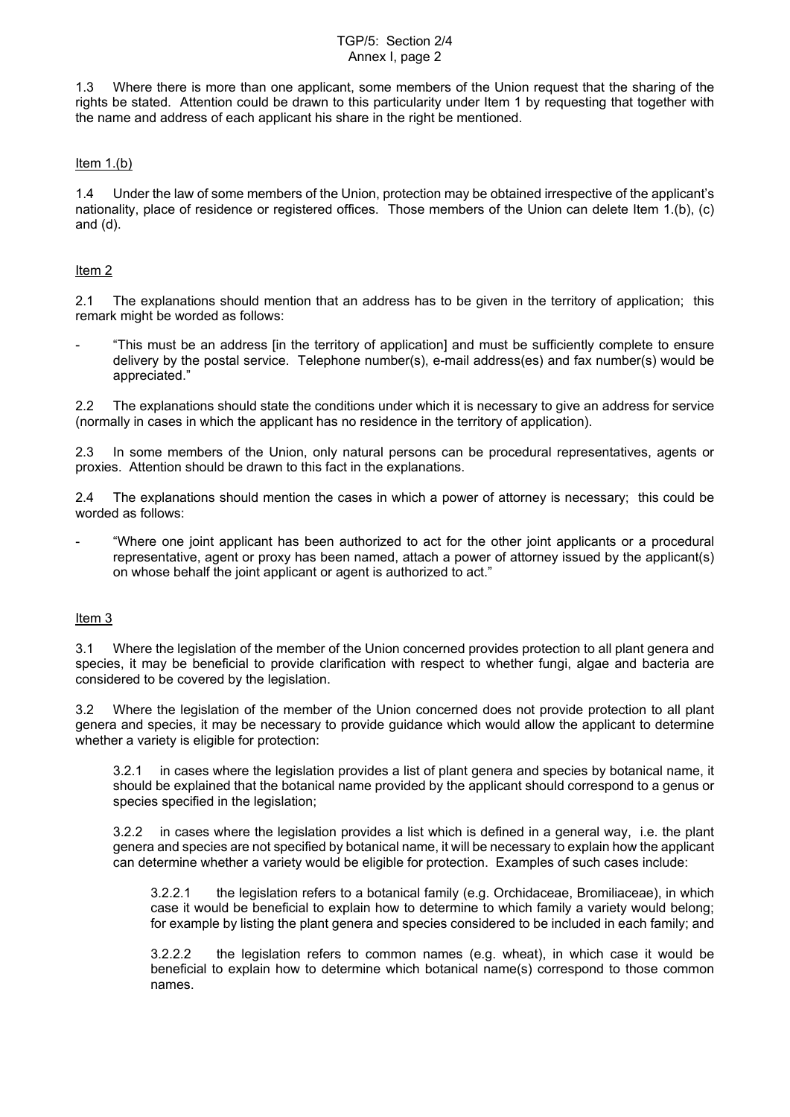### TGP/5: Section 2/4 Annex I, page 2

1.3 Where there is more than one applicant, some members of the Union request that the sharing of the rights be stated. Attention could be drawn to this particularity under Item 1 by requesting that together with the name and address of each applicant his share in the right be mentioned.

## Item  $1.(b)$

1.4 Under the law of some members of the Union, protection may be obtained irrespective of the applicant's nationality, place of residence or registered offices. Those members of the Union can delete Item 1.(b), (c) and (d).

## Item 2

2.1 The explanations should mention that an address has to be given in the territory of application; this remark might be worded as follows:

- "This must be an address [in the territory of application] and must be sufficiently complete to ensure delivery by the postal service. Telephone number(s), e-mail address(es) and fax number(s) would be appreciated."

2.2 The explanations should state the conditions under which it is necessary to give an address for service (normally in cases in which the applicant has no residence in the territory of application).

2.3 In some members of the Union, only natural persons can be procedural representatives, agents or proxies. Attention should be drawn to this fact in the explanations.

2.4 The explanations should mention the cases in which a power of attorney is necessary; this could be worded as follows:

"Where one joint applicant has been authorized to act for the other joint applicants or a procedural representative, agent or proxy has been named, attach a power of attorney issued by the applicant(s) on whose behalf the joint applicant or agent is authorized to act."

### Item 3

3.1 Where the legislation of the member of the Union concerned provides protection to all plant genera and species, it may be beneficial to provide clarification with respect to whether fungi, algae and bacteria are considered to be covered by the legislation.

3.2 Where the legislation of the member of the Union concerned does not provide protection to all plant genera and species, it may be necessary to provide guidance which would allow the applicant to determine whether a variety is eligible for protection:

3.2.1 in cases where the legislation provides a list of plant genera and species by botanical name, it should be explained that the botanical name provided by the applicant should correspond to a genus or species specified in the legislation;

3.2.2 in cases where the legislation provides a list which is defined in a general way, i.e. the plant genera and species are not specified by botanical name, it will be necessary to explain how the applicant can determine whether a variety would be eligible for protection. Examples of such cases include:

3.2.2.1 the legislation refers to a botanical family (e.g. Orchidaceae, Bromiliaceae), in which case it would be beneficial to explain how to determine to which family a variety would belong; for example by listing the plant genera and species considered to be included in each family; and

3.2.2.2 the legislation refers to common names (e.g. wheat), in which case it would be beneficial to explain how to determine which botanical name(s) correspond to those common names.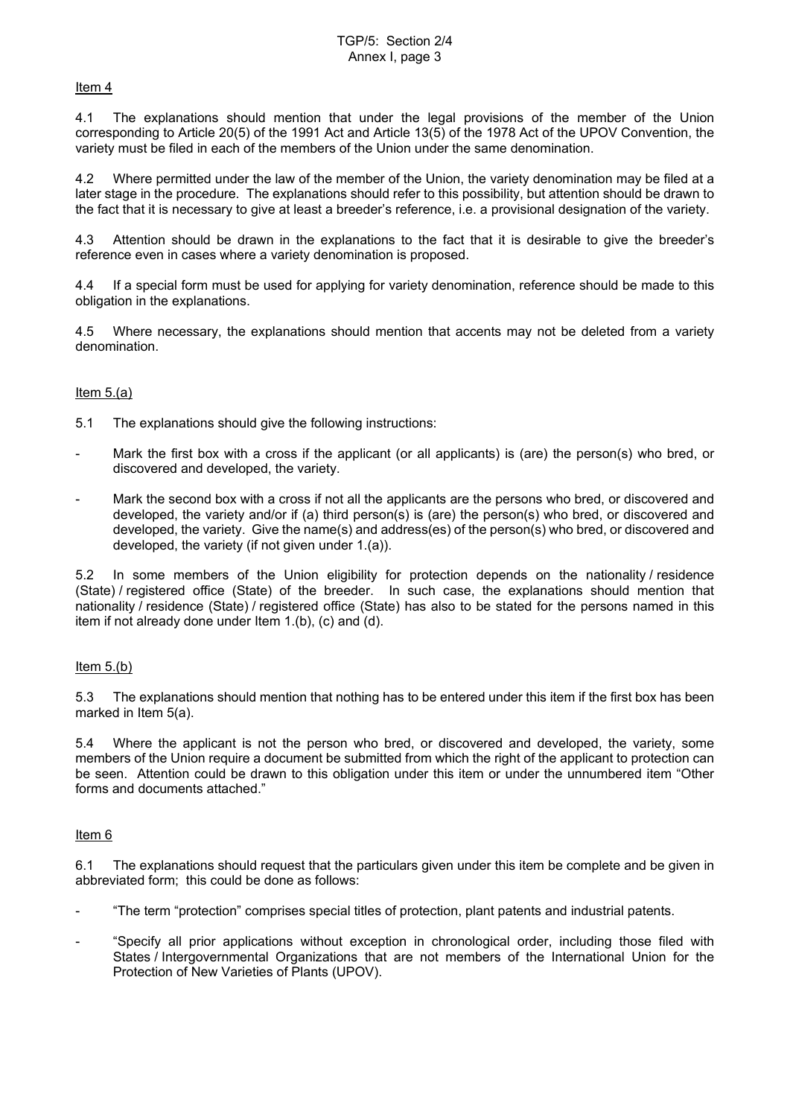### Item 4

4.1 The explanations should mention that under the legal provisions of the member of the Union corresponding to Article 20(5) of the 1991 Act and Article 13(5) of the 1978 Act of the UPOV Convention, the variety must be filed in each of the members of the Union under the same denomination.

4.2 Where permitted under the law of the member of the Union, the variety denomination may be filed at a later stage in the procedure. The explanations should refer to this possibility, but attention should be drawn to the fact that it is necessary to give at least a breeder's reference, i.e. a provisional designation of the variety.

4.3 Attention should be drawn in the explanations to the fact that it is desirable to give the breeder's reference even in cases where a variety denomination is proposed.

4.4 If a special form must be used for applying for variety denomination, reference should be made to this obligation in the explanations.

4.5 Where necessary, the explanations should mention that accents may not be deleted from a variety denomination.

# Item 5.(a)

- 5.1 The explanations should give the following instructions:
- Mark the first box with a cross if the applicant (or all applicants) is (are) the person(s) who bred, or discovered and developed, the variety.
- Mark the second box with a cross if not all the applicants are the persons who bred, or discovered and developed, the variety and/or if (a) third person(s) is (are) the person(s) who bred, or discovered and developed, the variety. Give the name(s) and address(es) of the person(s) who bred, or discovered and developed, the variety (if not given under 1.(a)).

5.2 In some members of the Union eligibility for protection depends on the nationality / residence (State) / registered office (State) of the breeder. In such case, the explanations should mention that nationality / residence (State) / registered office (State) has also to be stated for the persons named in this item if not already done under Item 1.(b), (c) and (d).

# Item 5.(b)

5.3 The explanations should mention that nothing has to be entered under this item if the first box has been marked in Item 5(a).

5.4 Where the applicant is not the person who bred, or discovered and developed, the variety, some members of the Union require a document be submitted from which the right of the applicant to protection can be seen. Attention could be drawn to this obligation under this item or under the unnumbered item "Other forms and documents attached."

### Item 6

6.1 The explanations should request that the particulars given under this item be complete and be given in abbreviated form; this could be done as follows:

- "The term "protection" comprises special titles of protection, plant patents and industrial patents.
- "Specify all prior applications without exception in chronological order, including those filed with States / Intergovernmental Organizations that are not members of the International Union for the Protection of New Varieties of Plants (UPOV).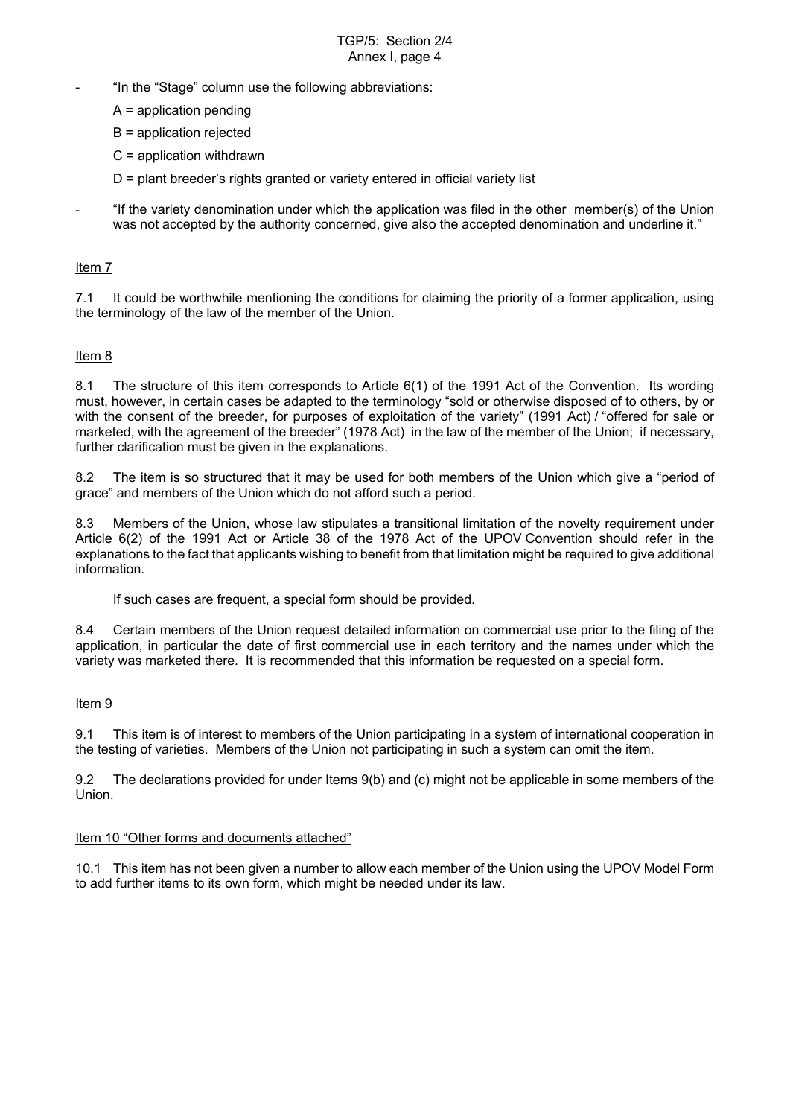### TGP/5: Section 2/4 Annex I, page 4

- "In the "Stage" column use the following abbreviations:
	- A = application pending
	- B = application rejected
	- C = application withdrawn
	- D = plant breeder's rights granted or variety entered in official variety list
- "If the variety denomination under which the application was filed in the other member(s) of the Union was not accepted by the authority concerned, give also the accepted denomination and underline it."

### Item 7

7.1 It could be worthwhile mentioning the conditions for claiming the priority of a former application, using the terminology of the law of the member of the Union.

### Item 8

8.1 The structure of this item corresponds to Article 6(1) of the 1991 Act of the Convention. Its wording must, however, in certain cases be adapted to the terminology "sold or otherwise disposed of to others, by or with the consent of the breeder, for purposes of exploitation of the variety" (1991 Act) / "offered for sale or marketed, with the agreement of the breeder" (1978 Act) in the law of the member of the Union; if necessary, further clarification must be given in the explanations.

8.2 The item is so structured that it may be used for both members of the Union which give a "period of grace" and members of the Union which do not afford such a period.

8.3 Members of the Union, whose law stipulates a transitional limitation of the novelty requirement under Article 6(2) of the 1991 Act or Article 38 of the 1978 Act of the UPOV Convention should refer in the explanations to the fact that applicants wishing to benefit from that limitation might be required to give additional information.

If such cases are frequent, a special form should be provided.

8.4 Certain members of the Union request detailed information on commercial use prior to the filing of the application, in particular the date of first commercial use in each territory and the names under which the variety was marketed there. It is recommended that this information be requested on a special form.

### Item 9

9.1 This item is of interest to members of the Union participating in a system of international cooperation in the testing of varieties. Members of the Union not participating in such a system can omit the item.

9.2 The declarations provided for under Items 9(b) and (c) might not be applicable in some members of the Union.

### Item 10 "Other forms and documents attached"

10.1 This item has not been given a number to allow each member of the Union using the UPOV Model Form to add further items to its own form, which might be needed under its law.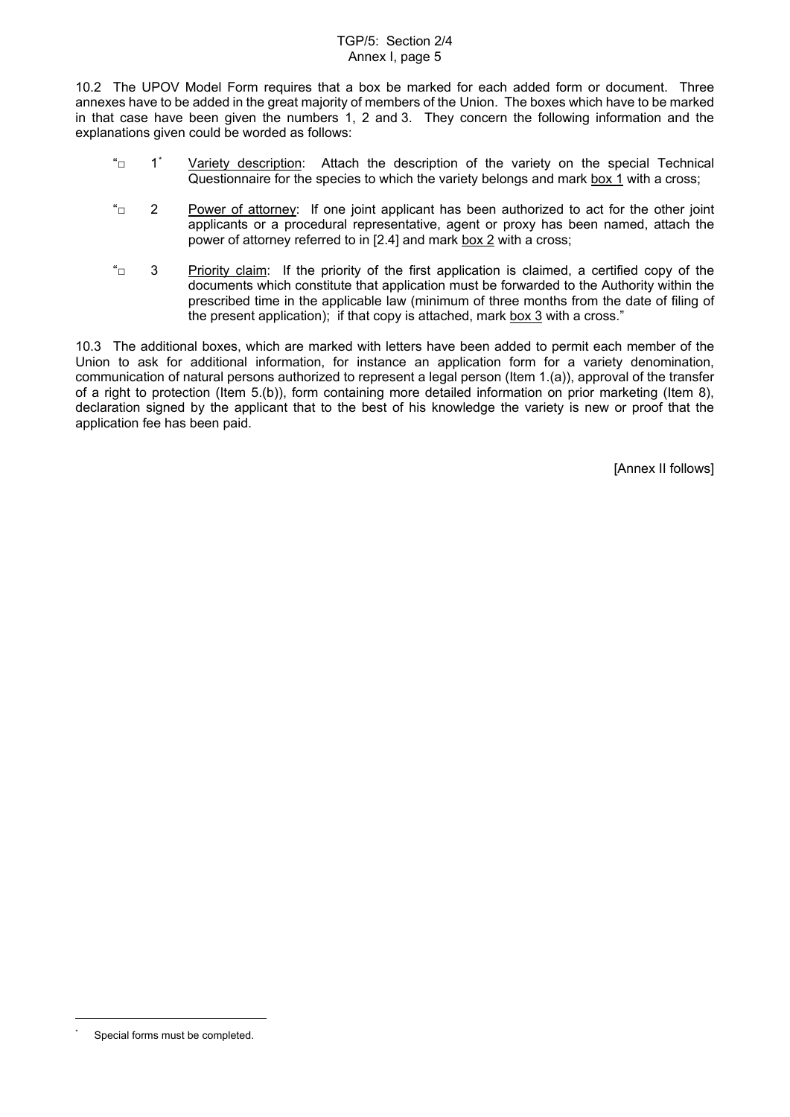### TGP/5: Section 2/4 Annex I, page 5

10.2 The UPOV Model Form requires that a box be marked for each added form or document. Three annexes have to be added in the great majority of members of the Union. The boxes which have to be marked in that case have been given the numbers 1, 2 and 3. They concern the following information and the explanations given could be worded as follows:

- $\text{``}$  1  $\text{''}$  Variety description: Attach the description of the variety on the special Technical Questionnaire for the species to which the variety belongs and mark box 1 with a cross;
- $\Box$  2 Power of attorney: If one joint applicant has been authorized to act for the other joint applicants or a procedural representative, agent or proxy has been named, attach the power of attorney referred to in [2.4] and mark box 2 with a cross;
- $\overline{a}$  3 Priority claim: If the priority of the first application is claimed, a certified copy of the documents which constitute that application must be forwarded to the Authority within the prescribed time in the applicable law (minimum of three months from the date of filing of the present application); if that copy is attached, mark box 3 with a cross."

10.3 The additional boxes, which are marked with letters have been added to permit each member of the Union to ask for additional information, for instance an application form for a variety denomination, communication of natural persons authorized to represent a legal person (Item 1.(a)), approval of the transfer of a right to protection (Item 5.(b)), form containing more detailed information on prior marketing (Item 8), declaration signed by the applicant that to the best of his knowledge the variety is new or proof that the application fee has been paid.

[Annex II follows]

<span id="page-8-0"></span>Special forms must be completed.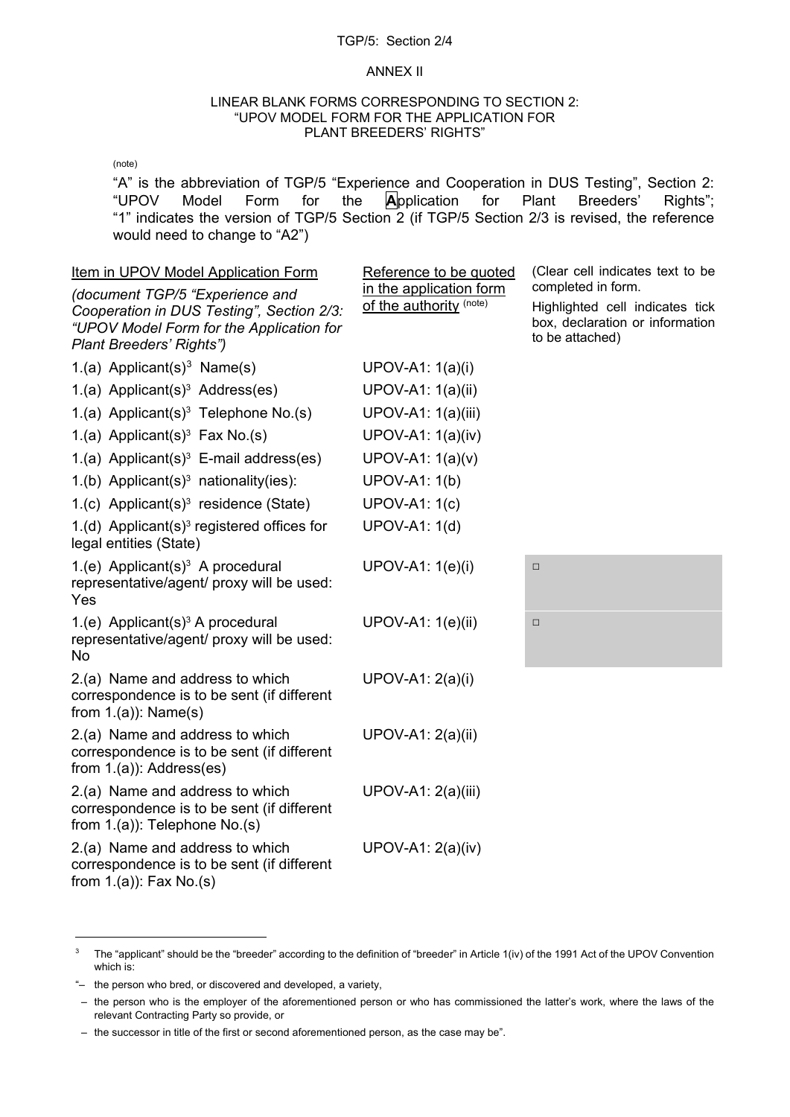### TGP/5: Section 2/4

### ANNEX II

### LINEAR BLANK FORMS CORRESPONDING TO SECTION 2: "UPOV MODEL FORM FOR THE APPLICATION FOR PLANT BREEDERS' RIGHTS"

(note)

"A" is the abbreviation of TGP/5 "Experience and Cooperation in DUS Testing", Section 2:<br>"UPOV Model Form for the Application for Plant Breeders' Rights": "UPOV Model Form for the **A**pplication for Plant Breeders' Rights"; "1" indicates the version of TGP/5 Section 2 (if TGP/5 Section 2/3 is revised, the reference would need to change to "A2")

<span id="page-9-0"></span>

| Item in UPOV Model Application Form<br>(document TGP/5 "Experience and<br>Cooperation in DUS Testing", Section 2/3:<br>"UPOV Model Form for the Application for<br>Plant Breeders' Rights") | Reference to be quoted<br>in the application form<br>of the authority (note) | (Clear cell indicates text to be<br>completed in form.<br>Highlighted cell indicates tick<br>box, declaration or information<br>to be attached) |
|---------------------------------------------------------------------------------------------------------------------------------------------------------------------------------------------|------------------------------------------------------------------------------|-------------------------------------------------------------------------------------------------------------------------------------------------|
| 1.(a) Applicant(s) <sup>3</sup> Name(s)                                                                                                                                                     | UPOV-A1: 1(a)(i)                                                             |                                                                                                                                                 |
| 1.(a) Applicant(s) <sup>3</sup> Address(es)                                                                                                                                                 | UPOV-A1: 1(a)(ii)                                                            |                                                                                                                                                 |
| 1.(a) Applicant(s) <sup>3</sup> Telephone No.(s)                                                                                                                                            | <b>UPOV-A1: 1(a)(iii)</b>                                                    |                                                                                                                                                 |
| 1.(a) Applicant(s) <sup>3</sup> Fax No.(s)                                                                                                                                                  | <b>UPOV-A1: 1(a)(iv)</b>                                                     |                                                                                                                                                 |
| 1.(a) Applicant(s) <sup>3</sup> E-mail address(es)                                                                                                                                          | UPOV-A1: $1(a)(v)$                                                           |                                                                                                                                                 |
| 1.(b) Applicant(s) <sup>3</sup> nationality(ies):                                                                                                                                           | <b>UPOV-A1: 1(b)</b>                                                         |                                                                                                                                                 |
| 1.(c) Applicant(s) <sup>3</sup> residence (State)                                                                                                                                           | <b>UPOV-A1: 1(c)</b>                                                         |                                                                                                                                                 |
| 1.(d) Applicant(s) <sup>3</sup> registered offices for<br>legal entities (State)                                                                                                            | <b>UPOV-A1: 1(d)</b>                                                         |                                                                                                                                                 |
| 1.(e) Applicant(s) <sup>3</sup> A procedural<br>representative/agent/ proxy will be used:<br>Yes                                                                                            | UPOV-A1: 1(e)(i)                                                             | $\Box$                                                                                                                                          |
| 1.(e) Applicant(s) <sup>3</sup> A procedural<br>representative/agent/ proxy will be used:<br><b>No</b>                                                                                      | UPOV-A1: 1(e)(ii)                                                            | $\Box$                                                                                                                                          |
| 2.(a) Name and address to which<br>correspondence is to be sent (if different<br>from $1.(a)$ : Name $(s)$                                                                                  | UPOV-A1: 2(a)(i)                                                             |                                                                                                                                                 |
| 2.(a) Name and address to which<br>correspondence is to be sent (if different<br>from $1.(a)$ : Address(es)                                                                                 | <b>UPOV-A1: 2(a)(ii)</b>                                                     |                                                                                                                                                 |
| 2.(a) Name and address to which<br>correspondence is to be sent (if different<br>from $1.(a)$ : Telephone No.(s)                                                                            | UPOV-A1: 2(a)(iii)                                                           |                                                                                                                                                 |
| 2.(a) Name and address to which<br>correspondence is to be sent (if different<br>from $1.(a)$ : Fax No.(s)                                                                                  | UPOV-A1: 2(a)(iv)                                                            |                                                                                                                                                 |

<span id="page-9-1"></span><sup>&</sup>lt;sup>3</sup> The "applicant" should be the "breeder" according to the definition of "breeder" in Article 1(iv) of the 1991 Act of the UPOV Convention which is:

<sup>&</sup>quot;– the person who bred, or discovered and developed, a variety,

 <sup>–</sup> the person who is the employer of the aforementioned person or who has commissioned the latter's work, where the laws of the relevant Contracting Party so provide, or

 <sup>–</sup> the successor in title of the first or second aforementioned person, as the case may be".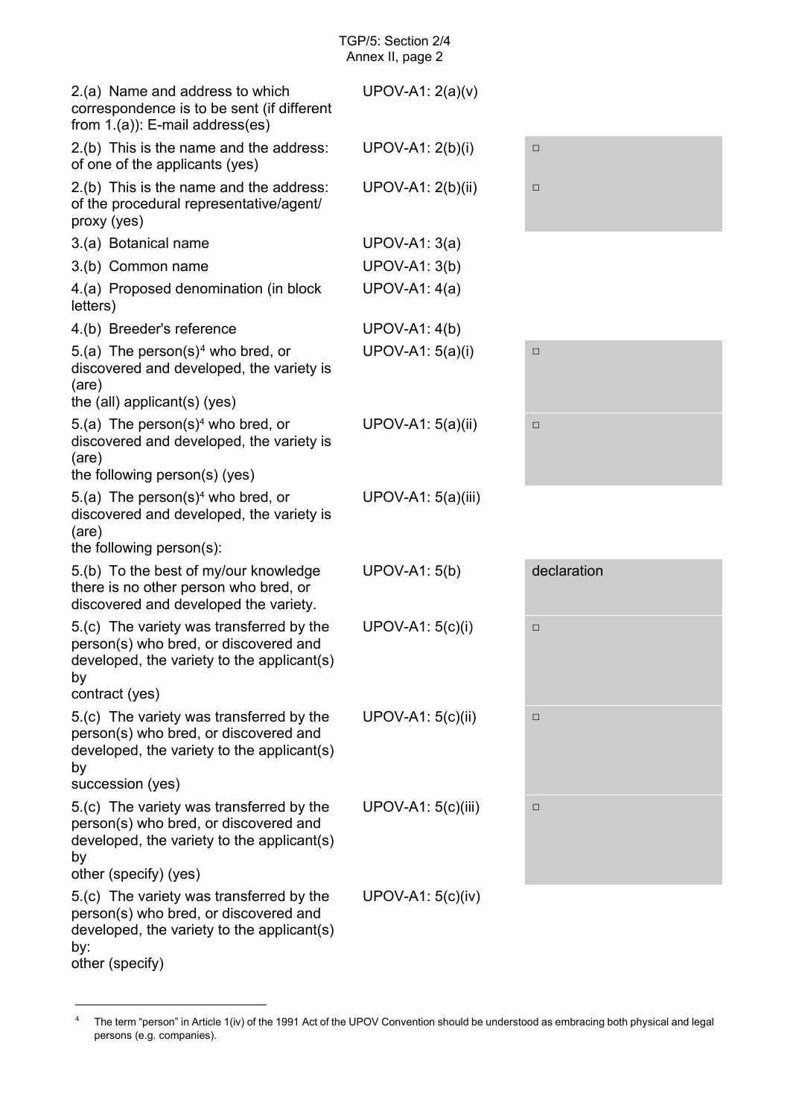<span id="page-10-0"></span>

| $UPOV-A1: 2(a)(v)$   |             |
|----------------------|-------------|
| UPOV-A1: 2(b)(i)     | $\Box$      |
| UPOV-A1: 2(b)(ii)    | $\Box$      |
| $UPOV-A1: 3(a)$      |             |
| <b>UPOV-A1: 3(b)</b> |             |
| <b>UPOV-A1: 4(a)</b> |             |
| <b>UPOV-A1: 4(b)</b> |             |
| UPOV-A1: 5(a)(i)     | $\Box$      |
| UPOV-A1: 5(a)(ii)    | $\Box$      |
| UPOV-A1: 5(a)(iii)   |             |
| <b>UPOV-A1: 5(b)</b> | declaration |
| UPOV-A1: 5(c)(i)     | $\Box$      |
| UPOV-A1: 5(c)(ii)    | $\Box$      |
| $UPOV-A1: 5(c)(iii)$ | $\Box$      |
| UPOV-A1: $5(c)(iv)$  |             |
|                      |             |

<span id="page-10-1"></span><sup>&</sup>lt;sup>4</sup> The term "person" in Article 1(iv) of the 1991 Act of the UPOV Convention should be understood as embracing both physical and legal persons (e.g. companies).

-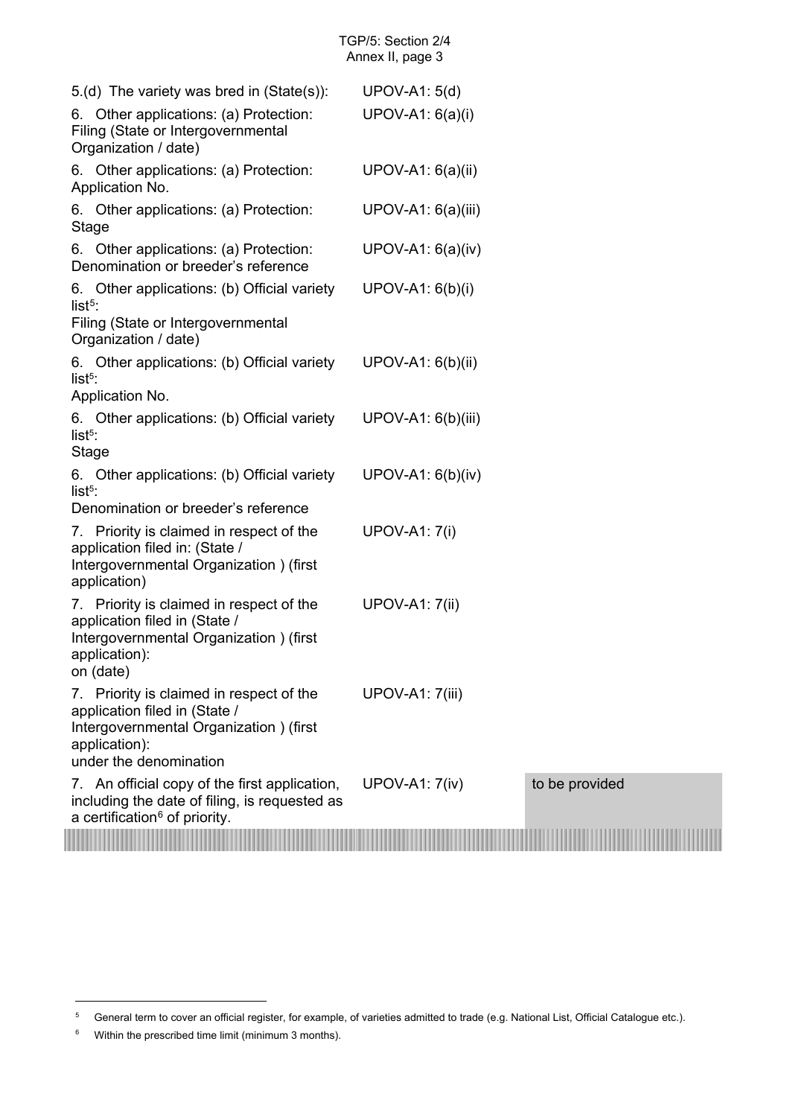<span id="page-11-0"></span>

| $5.(d)$ The variety was bred in (State(s)):                                                                                                                       | <b>UPOV-A1: 5(d)</b>  |                |
|-------------------------------------------------------------------------------------------------------------------------------------------------------------------|-----------------------|----------------|
| 6. Other applications: (a) Protection:<br>Filing (State or Intergovernmental<br>Organization / date)                                                              | UPOV-A1: 6(a)(i)      |                |
| 6. Other applications: (a) Protection:<br>Application No.                                                                                                         | UPOV-A1: 6(a)(ii)     |                |
| 6. Other applications: (a) Protection:<br>Stage                                                                                                                   | UPOV-A1: 6(a)(iii)    |                |
| 6. Other applications: (a) Protection:<br>Denomination or breeder's reference                                                                                     | $UPOV-A1: 6(a)(iv)$   |                |
| 6. Other applications: (b) Official variety<br>list $5$ :<br>Filing (State or Intergovernmental<br>Organization / date)                                           | UPOV-A1: 6(b)(i)      |                |
| 6. Other applications: (b) Official variety<br>$list5$ :<br>Application No.                                                                                       | UPOV-A1: 6(b)(ii)     |                |
| 6. Other applications: (b) Official variety<br>$list5$ :<br><b>Stage</b>                                                                                          | $UPOV-A1: 6(b)(iii)$  |                |
| 6. Other applications: (b) Official variety<br>$list5$ :<br>Denomination or breeder's reference                                                                   | $UPOV-A1: 6(b)(iv)$   |                |
| Priority is claimed in respect of the<br>7.<br>application filed in: (State /<br>Intergovernmental Organization) (first<br>application)                           | <b>UPOV-A1: 7(i)</b>  |                |
| 7. Priority is claimed in respect of the<br>application filed in (State /<br>Intergovernmental Organization) (first<br>application):<br>on (date)                 | <b>UPOV-A1: 7(ii)</b> |                |
| Priority is claimed in respect of the<br>7.<br>application filed in (State /<br>Intergovernmental Organization) (first<br>application):<br>under the denomination | UPOV-A1: 7(iii)       |                |
| 7. An official copy of the first application,<br>including the date of filing, is requested as<br>a certification <sup>6</sup> of priority.                       | <b>UPOV-A1: 7(iv)</b> | to be provided |
|                                                                                                                                                                   |                       |                |

-

<span id="page-11-1"></span><sup>5</sup> General term to cover an official register, for example, of varieties admitted to trade (e.g. National List, Official Catalogue etc.).

<span id="page-11-2"></span><sup>6</sup> Within the prescribed time limit (minimum 3 months).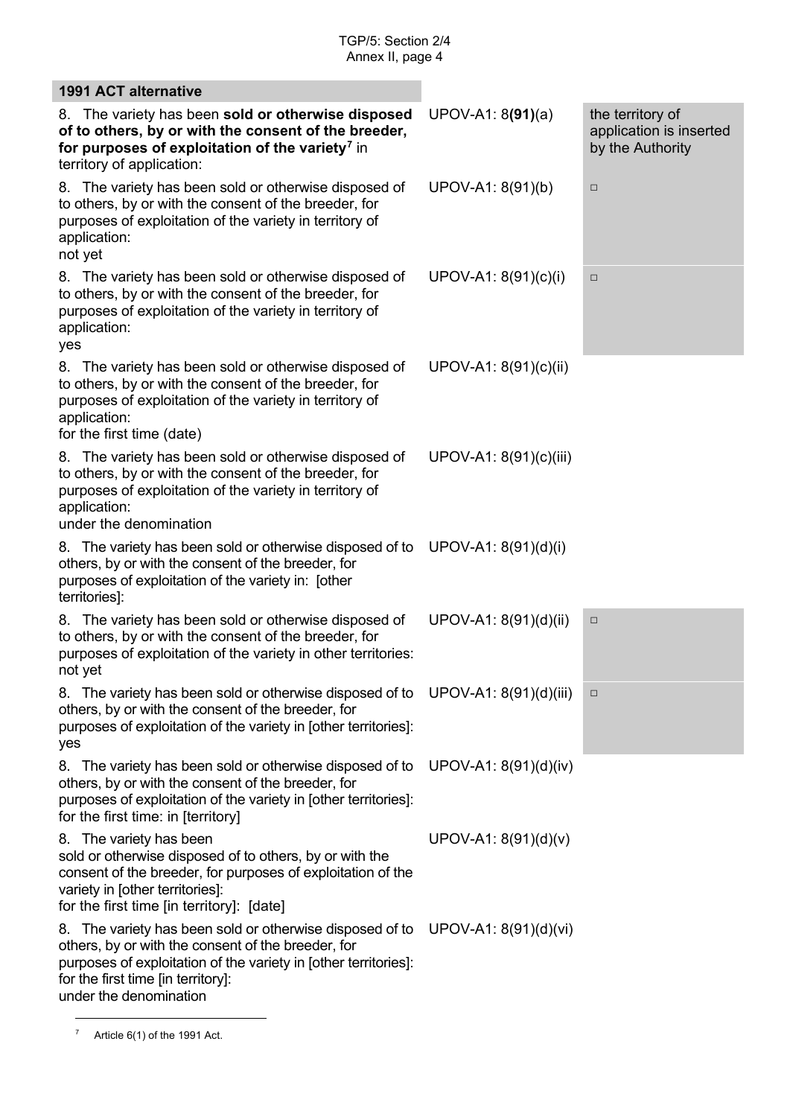<span id="page-12-0"></span>

| <b>1991 ACT alternative</b>                                                                                                                                                                                                                       |                        |                                                                 |
|---------------------------------------------------------------------------------------------------------------------------------------------------------------------------------------------------------------------------------------------------|------------------------|-----------------------------------------------------------------|
| 8. The variety has been sold or otherwise disposed<br>of to others, by or with the consent of the breeder,<br>for purposes of exploitation of the variety <sup>7</sup> in<br>territory of application:                                            | $UPOV-A1: 8(91)(a)$    | the territory of<br>application is inserted<br>by the Authority |
| 8. The variety has been sold or otherwise disposed of<br>to others, by or with the consent of the breeder, for<br>purposes of exploitation of the variety in territory of<br>application:<br>not yet                                              | UPOV-A1: 8(91)(b)      | $\Box$                                                          |
| 8. The variety has been sold or otherwise disposed of<br>to others, by or with the consent of the breeder, for<br>purposes of exploitation of the variety in territory of<br>application:<br>yes                                                  | UPOV-A1: 8(91)(c)(i)   | $\Box$                                                          |
| 8. The variety has been sold or otherwise disposed of<br>to others, by or with the consent of the breeder, for<br>purposes of exploitation of the variety in territory of<br>application:<br>for the first time (date)                            | UPOV-A1: 8(91)(c)(ii)  |                                                                 |
| 8. The variety has been sold or otherwise disposed of<br>to others, by or with the consent of the breeder, for<br>purposes of exploitation of the variety in territory of<br>application:<br>under the denomination                               | UPOV-A1: 8(91)(c)(iii) |                                                                 |
| 8. The variety has been sold or otherwise disposed of to<br>others, by or with the consent of the breeder, for<br>purposes of exploitation of the variety in: [other<br>territories]:                                                             | UPOV-A1: 8(91)(d)(i)   |                                                                 |
| 8. The variety has been sold or otherwise disposed of<br>to others, by or with the consent of the breeder, for<br>purposes of exploitation of the variety in other territories:<br>not yet                                                        | UPOV-A1: 8(91)(d)(ii)  | $\Box$                                                          |
| 8. The variety has been sold or otherwise disposed of to<br>others, by or with the consent of the breeder, for<br>purposes of exploitation of the variety in [other territories]:<br>yes                                                          | UPOV-A1: 8(91)(d)(iii) | $\Box$                                                          |
| The variety has been sold or otherwise disposed of to<br>8.<br>others, by or with the consent of the breeder, for<br>purposes of exploitation of the variety in [other territories]:<br>for the first time: in [territory]                        | UPOV-A1: 8(91)(d)(iv)  |                                                                 |
| The variety has been<br>8.<br>sold or otherwise disposed of to others, by or with the<br>consent of the breeder, for purposes of exploitation of the<br>variety in [other territories]:<br>for the first time [in territory]: [date]              | UPOV-A1: 8(91)(d)(v)   |                                                                 |
| 8. The variety has been sold or otherwise disposed of to<br>others, by or with the consent of the breeder, for<br>purposes of exploitation of the variety in [other territories]:<br>for the first time [in territory]:<br>under the denomination | UPOV-A1: 8(91)(d)(vi)  |                                                                 |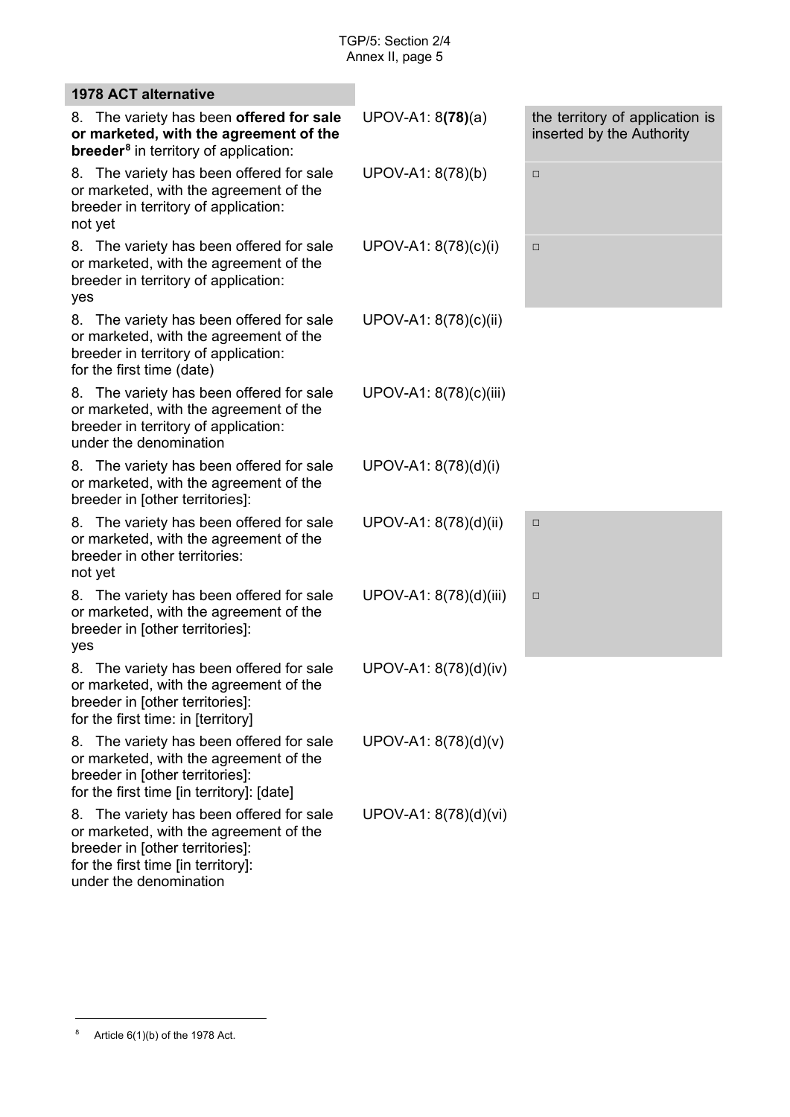| <b>1978 ACT alternative</b>                                                                                                                                                              |                        |                                                              |
|------------------------------------------------------------------------------------------------------------------------------------------------------------------------------------------|------------------------|--------------------------------------------------------------|
| The variety has been offered for sale<br>8.<br>or marketed, with the agreement of the<br><b>breeder<sup>8</sup></b> in territory of application:                                         | $UPOV-A1: 8(78)(a)$    | the territory of application is<br>inserted by the Authority |
| The variety has been offered for sale<br>8.<br>or marketed, with the agreement of the<br>breeder in territory of application:<br>not yet                                                 | UPOV-A1: 8(78)(b)      | $\Box$                                                       |
| The variety has been offered for sale<br>8.<br>or marketed, with the agreement of the<br>breeder in territory of application:<br>yes                                                     | UPOV-A1: 8(78)(c)(i)   | □                                                            |
| 8. The variety has been offered for sale<br>or marketed, with the agreement of the<br>breeder in territory of application:<br>for the first time (date)                                  | UPOV-A1: 8(78)(c)(ii)  |                                                              |
| 8. The variety has been offered for sale<br>or marketed, with the agreement of the<br>breeder in territory of application:<br>under the denomination                                     | UPOV-A1: 8(78)(c)(iii) |                                                              |
| The variety has been offered for sale<br>8.<br>or marketed, with the agreement of the<br>breeder in [other territories]:                                                                 | UPOV-A1: 8(78)(d)(i)   |                                                              |
| The variety has been offered for sale<br>8.<br>or marketed, with the agreement of the<br>breeder in other territories:<br>not yet                                                        | UPOV-A1: 8(78)(d)(ii)  | $\Box$                                                       |
| The variety has been offered for sale<br>8.<br>or marketed, with the agreement of the<br>breeder in [other territories]:<br>yes                                                          | UPOV-A1: 8(78)(d)(iii) | $\Box$                                                       |
| The variety has been offered for sale<br>8.<br>or marketed, with the agreement of the<br>breeder in [other territories]:<br>for the first time: in [territory]                           | UPOV-A1: 8(78)(d)(iv)  |                                                              |
| The variety has been offered for sale<br>8.<br>or marketed, with the agreement of the<br>breeder in [other territories]:<br>for the first time [in territory]: [date]                    | UPOV-A1: 8(78)(d)(v)   |                                                              |
| The variety has been offered for sale<br>8.<br>or marketed, with the agreement of the<br>breeder in [other territories]:<br>for the first time [in territory]:<br>under the denomination | UPOV-A1: 8(78)(d)(vi)  |                                                              |

<span id="page-13-0"></span><sup>&</sup>lt;sup>8</sup> Article  $6(1)(b)$  of the 1978 Act.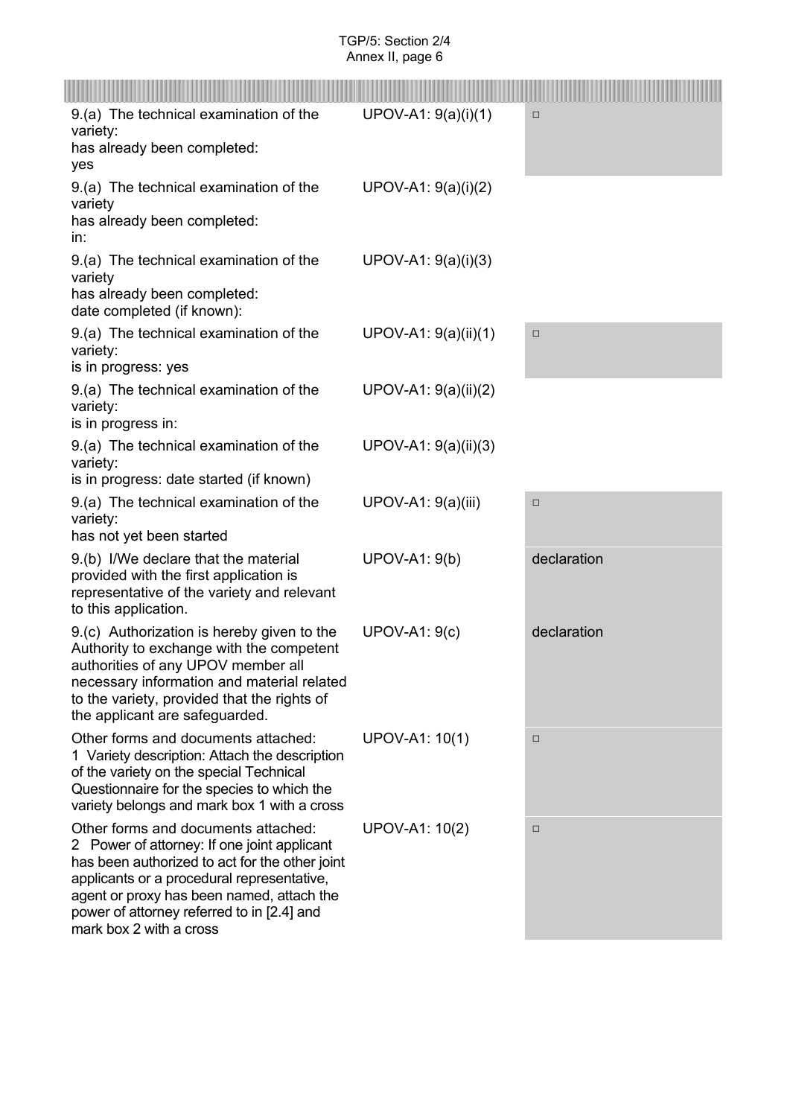| 9.(a) The technical examination of the<br>variety:<br>has already been completed:<br>yes                                                                                                                                                                                                                 | UPOV-A1: 9(a)(i)(1)  | $\Box$      |
|----------------------------------------------------------------------------------------------------------------------------------------------------------------------------------------------------------------------------------------------------------------------------------------------------------|----------------------|-------------|
| 9.(a) The technical examination of the<br>variety<br>has already been completed:<br>in:                                                                                                                                                                                                                  | UPOV-A1: 9(a)(i)(2)  |             |
| 9.(a) The technical examination of the<br>variety<br>has already been completed:<br>date completed (if known):                                                                                                                                                                                           | UPOV-A1: 9(a)(i)(3)  |             |
| 9.(a) The technical examination of the<br>variety:<br>is in progress: yes                                                                                                                                                                                                                                | UPOV-A1: 9(a)(ii)(1) | $\Box$      |
| 9.(a) The technical examination of the<br>variety:<br>is in progress in:                                                                                                                                                                                                                                 | UPOV-A1: 9(a)(ii)(2) |             |
| 9.(a) The technical examination of the<br>variety:<br>is in progress: date started (if known)                                                                                                                                                                                                            | UPOV-A1: 9(a)(ii)(3) |             |
| 9.(a) The technical examination of the<br>variety:<br>has not yet been started                                                                                                                                                                                                                           | UPOV-A1: 9(a)(iii)   | $\Box$      |
| 9.(b) I/We declare that the material<br>provided with the first application is<br>representative of the variety and relevant<br>to this application.                                                                                                                                                     | <b>UPOV-A1: 9(b)</b> | declaration |
| 9.(c) Authorization is hereby given to the<br>Authority to exchange with the competent<br>authorities of any UPOV member all<br>necessary information and material related<br>to the variety, provided that the rights of<br>the applicant are safeguarded.                                              | <b>UPOV-A1: 9(c)</b> | declaration |
| Other forms and documents attached:<br>1 Variety description: Attach the description<br>of the variety on the special Technical<br>Questionnaire for the species to which the<br>variety belongs and mark box 1 with a cross                                                                             | UPOV-A1: 10(1)       | □           |
| Other forms and documents attached:<br>2 Power of attorney: If one joint applicant<br>has been authorized to act for the other joint<br>applicants or a procedural representative,<br>agent or proxy has been named, attach the<br>power of attorney referred to in [2.4] and<br>mark box 2 with a cross | UPOV-A1: 10(2)       | $\Box$      |